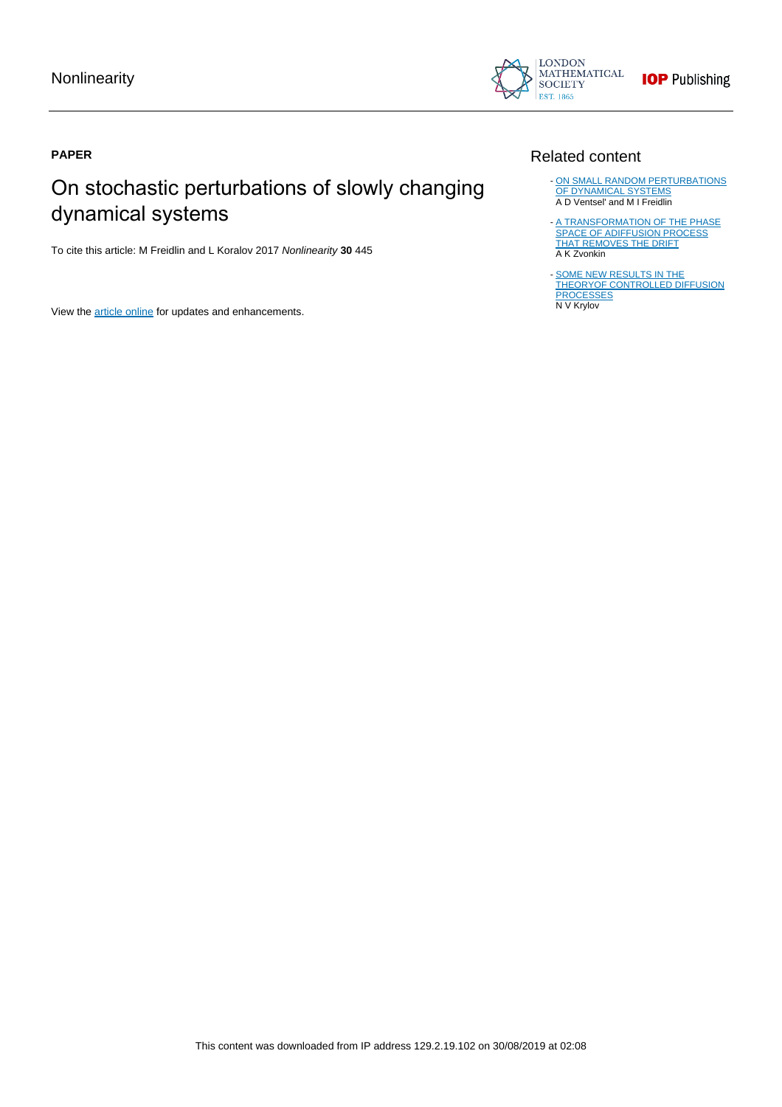

# **PAPER**

# On stochastic perturbations of slowly changing dynamical systems

To cite this article: M Freidlin and L Koralov 2017 Nonlinearity **30** 445

View the [article online](https://doi.org/10.1088/1361-6544/aa4f4e) for updates and enhancements.

# Related content

- [ON SMALL RANDOM PERTURBATIONS](http://iopscience.iop.org/article/10.1070/RM1970v025n01ABEH001254) [OF DYNAMICAL SYSTEMS](http://iopscience.iop.org/article/10.1070/RM1970v025n01ABEH001254) A D Ventsel' and M I Freidlin
- [A TRANSFORMATION OF THE PHASE](http://iopscience.iop.org/article/10.1070/SM1974v022n01ABEH001689) [SPACE OF ADIFFUSION PROCESS](http://iopscience.iop.org/article/10.1070/SM1974v022n01ABEH001689) [THAT REMOVES THE DRIFT](http://iopscience.iop.org/article/10.1070/SM1974v022n01ABEH001689) A K Zvonkin -
- [SOME NEW RESULTS IN THE](http://iopscience.iop.org/article/10.1070/SM1980v037n01ABEH001946) [THEORYOF CONTROLLED DIFFUSION](http://iopscience.iop.org/article/10.1070/SM1980v037n01ABEH001946) **[PROCESSES](http://iopscience.iop.org/article/10.1070/SM1980v037n01ABEH001946)** N V Krylov -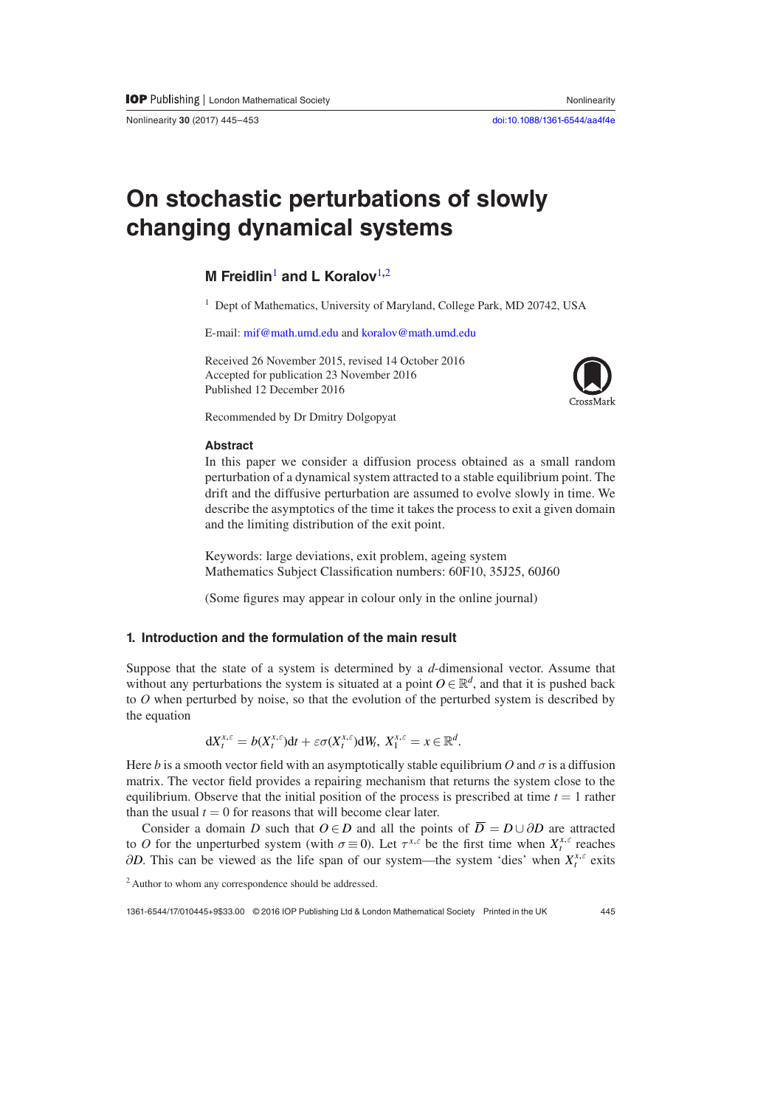Nonlinearity **30** (2017) 445–453 [doi:10.1088/1361-6544/aa4f4e](http://dx.doi.org/10.1088/1361-6544/aa4f4e)

# **On stochastic perturbations of slowly changing dynamical systems**

# **M Freidlin**[1](#page-1-0) **and L Koralov**[1](#page-1-0)**,**[2](#page-1-1)

<span id="page-1-0"></span><sup>1</sup> Dept of Mathematics, University of Maryland, College Park, MD 20742, USA

E-mail: [mif@math.umd.edu](mailto:mif@math.umd.edu) and [koralov@math.umd.edu](mailto:koralov@math.umd.edu)

Received 26 November 2015, revised 14 October 2016 Accepted for publication 23 November 2016 Published 12 December 2016



Recommended by Dr Dmitry Dolgopyat

## **Abstract**

In this paper we consider a diffusion process obtained as a small random perturbation of a dynamical system attracted to a stable equilibrium point. The drift and the diffusive perturbation are assumed to evolve slowly in time. We describe the asymptotics of the time it takes the process to exit a given domain and the limiting distribution of the exit point.

Keywords: large deviations, exit problem, ageing system Mathematics Subject Classification numbers: 60F10, 35J25, 60J60

(Some figures may appear in colour only in the online journal)

## **1. Introduction and the formulation of the main result**

Suppose that the state of a system is determined by a *d*-dimensional vector. Assume that without any perturbations the system is situated at a point  $O \in \mathbb{R}^d$ , and that it is pushed back to *O* when perturbed by noise, so that the evolution of the perturbed system is described by the equation

$$
\mathrm{d}X_t^{x,\varepsilon}=b(X_t^{x,\varepsilon})\mathrm{d}t+\varepsilon\sigma(X_t^{x,\varepsilon})\mathrm{d}W_t,\ X_1^{x,\varepsilon}=x\in\mathbb{R}^d.
$$

Here *b* is a smooth vector field with an asymptotically stable equilibrium *O* and  $\sigma$  is a diffusion matrix. The vector field provides a repairing mechanism that returns the system close to the equilibrium. Observe that the initial position of the process is prescribed at time  $t = 1$  rather than the usual  $t = 0$  for reasons that will become clear later.

Consider a domain *D* such that  $O \in D$  and all the points of  $\overline{D} = D \cup \partial D$  are attracted to *O* for the unperturbed system (with  $\sigma \equiv 0$ ). Let  $\tau^{x,\epsilon}$  be the first time when  $X_t^{x,\epsilon}$  reaches  $\partial D$ . This can be viewed as the life span of our system—the system 'dies' when  $X_t^{x,\varepsilon}$  exits

<span id="page-1-1"></span><sup>2</sup> Author to whom any correspondence should be addressed.

1361-6544/17/01[0445](#page-9-0)+9\$33.00 © 2016 IOP Publishing Ltd & London Mathematical Society Printed in the UK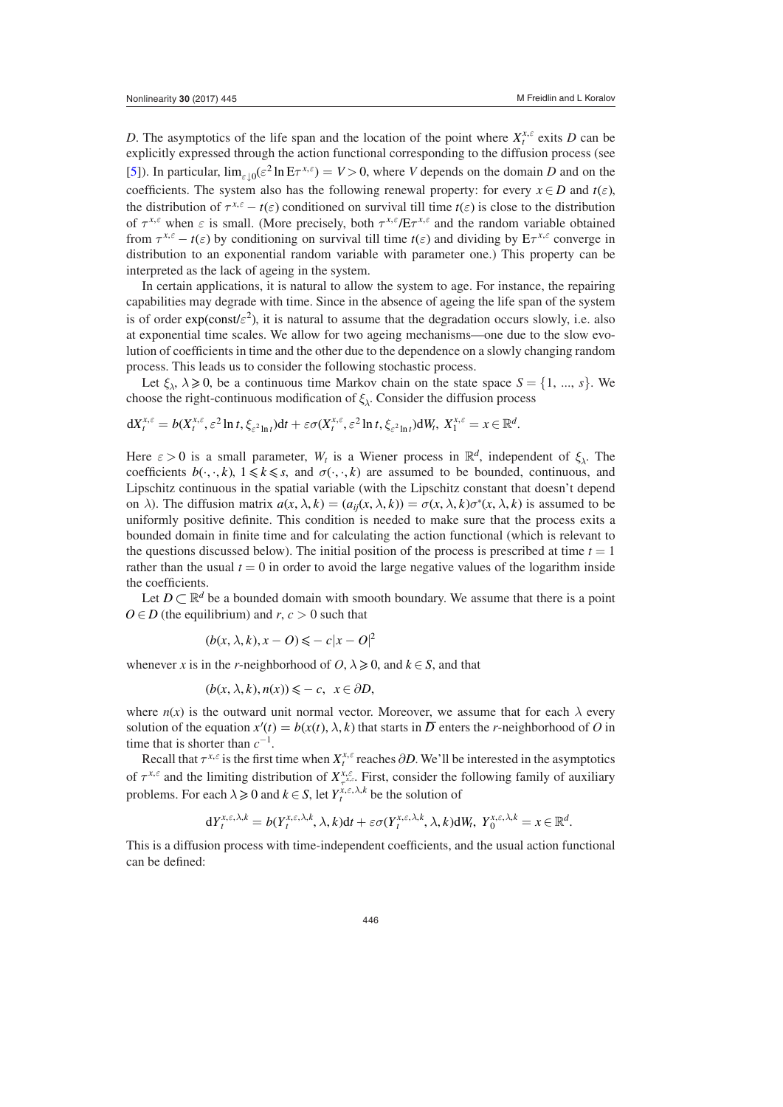*D*. The asymptotics of the life span and the location of the point where  $X_t^{x,\varepsilon}$  exits *D* can be explicitly expressed through the action functional corresponding to the diffusion process (see [\[5](#page-9-1)]). In particular,  $\lim_{\varepsilon \downarrow 0} (\varepsilon^2 \ln E \tau^{x,\varepsilon}) = V > 0$ , where *V* depends on the domain *D* and on the coefficients. The system also has the following renewal property: for every  $x \in D$  and  $t(\varepsilon)$ , the distribution of  $\tau^{x,\epsilon} - t(\epsilon)$  conditioned on survival till time  $t(\epsilon)$  is close to the distribution of  $\tau^{x,\epsilon}$  when  $\epsilon$  is small. (More precisely, both  $\tau^{x,\epsilon}/E\tau^{x,\epsilon}$  and the random variable obtained from  $\tau^{x,\epsilon} - t(\epsilon)$  by conditioning on survival till time  $t(\epsilon)$  and dividing by  $E\tau^{x,\epsilon}$  converge in distribution to an exponential random variable with parameter one.) This property can be interpreted as the lack of ageing in the system.

In certain applications, it is natural to allow the system to age. For instance, the repairing capabilities may degrade with time. Since in the absence of ageing the life span of the system is of order  $exp(const t \epsilon^2)$ , it is natural to assume that the degradation occurs slowly, i.e. also at exponential time scales. We allow for two ageing mechanisms—one due to the slow evolution of coefficients in time and the other due to the dependence on a slowly changing random process. This leads us to consider the following stochastic process.

Let  $\xi_{\lambda}$ ,  $\lambda \ge 0$ , be a continuous time Markov chain on the state space  $S = \{1, ..., s\}$ . We choose the right-continuous modification of  $\xi_{\lambda}$ . Consider the diffusion process

$$
dX_t^{x,\varepsilon} = b(X_t^{x,\varepsilon}, \varepsilon^2 \ln t, \xi_{\varepsilon^2 \ln t}) dt + \varepsilon \sigma(X_t^{x,\varepsilon}, \varepsilon^2 \ln t, \xi_{\varepsilon^2 \ln t}) dW_t, X_1^{x,\varepsilon} = x \in \mathbb{R}^d.
$$

Here  $\varepsilon > 0$  is a small parameter,  $W_t$  is a Wiener process in  $\mathbb{R}^d$ , independent of  $\xi_{\lambda}$ . The coefficients  $b(\cdot, \cdot, k)$ ,  $1 \le k \le s$ , and  $\sigma(\cdot, \cdot, k)$  are assumed to be bounded, continuous, and Lipschitz continuous in the spatial variable (with the Lipschitz constant that doesn't depend on  $\lambda$ ). The diffusion matrix  $a(x, \lambda, k) = (a_{ij}(x, \lambda, k)) = \sigma(x, \lambda, k) \sigma^*(x, \lambda, k)$  is assumed to be uniformly positive definite. This condition is needed to make sure that the process exits a bounded domain in finite time and for calculating the action functional (which is relevant to the questions discussed below). The initial position of the process is prescribed at time  $t = 1$ rather than the usual  $t = 0$  in order to avoid the large negative values of the logarithm inside the coefficients.

Let  $D \subset \mathbb{R}^d$  be a bounded domain with smooth boundary. We assume that there is a point  $O \in D$  (the equilibrium) and *r*,  $c > 0$  such that

$$
(b(x, \lambda, k), x - O) \leqslant -c |x - O|^2
$$

whenever *x* is in the *r*-neighborhood of  $O, \lambda \ge 0$ , and  $k \in S$ , and that

 $(b(x, \lambda, k), n(x)) \leq -c, x \in \partial D,$ 

where  $n(x)$  is the outward unit normal vector. Moreover, we assume that for each  $\lambda$  every solution of the equation  $x'(t) = b(x(t), \lambda, k)$  that starts in  $\overline{D}$  enters the *r*-neighborhood of *O* in time that is shorter than  $c^{-1}$ .

Recall that  $\tau^{x,\epsilon}$  is the first time when  $X_t^{x,\epsilon}$  reaches  $\partial D$ . We'll be interested in the asymptotics of  $\tau^{x,\epsilon}$  and the limiting distribution of  $X^{x,\epsilon}_{\tau^{x,\epsilon}}$ . First, consider the following family of auxiliary problems. For each  $\lambda \geq 0$  and  $k \in S$ , let  $Y_t^{x, \epsilon, \lambda, k}$  be the solution of

$$
dY_t^{x,\varepsilon,\lambda,k} = b(Y_t^{x,\varepsilon,\lambda,k},\lambda,k)dt + \varepsilon \sigma(Y_t^{x,\varepsilon,\lambda,k},\lambda,k) dW_t, Y_0^{x,\varepsilon,\lambda,k} = x \in \mathbb{R}^d.
$$

This is a diffusion process with time-independent coefficients, and the usual action functional can be defined: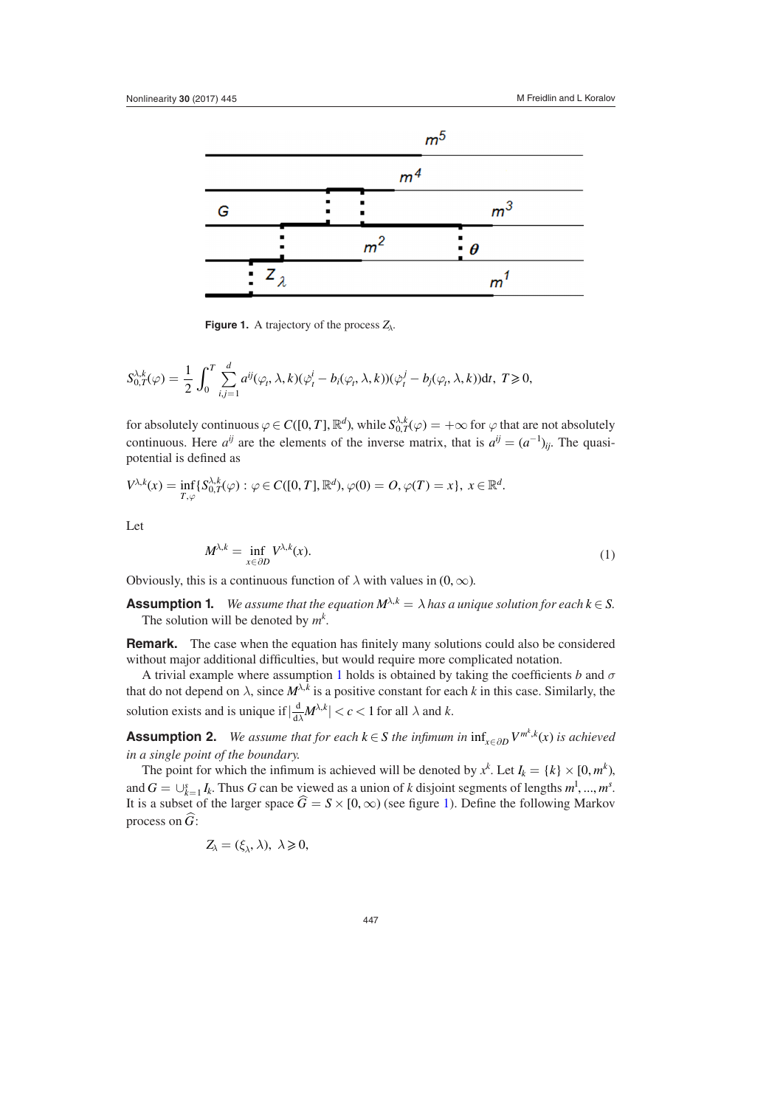<span id="page-3-1"></span>

**Figure 1.** A trajectory of the process *Zλ*.

$$
S_{0,T}^{\lambda,k}(\varphi) = \frac{1}{2} \int_0^T \sum_{i,j=1}^d a^{ij}(\varphi_t, \lambda, k)(\dot{\varphi}_t^i - b_i(\varphi_t, \lambda, k))(\dot{\varphi}_t^j - b_j(\varphi_t, \lambda, k))dt, \ T \geq 0,
$$

for absolutely continuous  $\varphi \in C([0, T], \mathbb{R}^d)$ , while  $S_{0, T}^{\lambda, k}(\varphi) = +\infty$  for  $\varphi$  that are not absolutely continuous. Here  $a^{ij}$  are the elements of the inverse matrix, that is  $a^{ij} = (a^{-1})_{ij}$ . The quasipotential is defined as

$$
V^{\lambda,k}(x)=\inf_{T,\varphi}\{S_{0,T}^{\lambda,k}(\varphi):\varphi\in C([0,T],\mathbb{R}^d),\varphi(0)=O,\varphi(T)=x\},\ x\in\mathbb{R}^d.
$$

Let

<span id="page-3-0"></span>
$$
M^{\lambda,k} = \inf_{x \in \partial D} V^{\lambda,k}(x). \tag{1}
$$

Obviously, this is a continuous function of  $\lambda$  with values in  $(0, \infty)$ .

**Assumption 1.** *We assume that the equation*  $M^{\lambda,k} = \lambda$  *has a unique solution for each*  $k \in S$ *.* The solution will be denoted by  $m^k$ .

**Remark.** The case when the equation has finitely many solutions could also be considered without major additional difficulties, but would require more complicated notation.

A trivial example where assumption [1](#page-3-0) holds is obtained by taking the coefficients *b* and  $\sigma$ that do not depend on  $\lambda$ , since  $M^{\lambda,k}$  is a positive constant for each *k* in this case. Similarly, the solution exists and is unique if  $\left|\frac{d}{d\lambda}M^{\lambda,k}\right| < c < 1$  for all  $\lambda$  and  $k$ .

**Assumption 2.** *We assume that for each k*  $\in$  *S the infimum in*  $\inf_{x \in \partial D} V^{m^k, k}(x)$  *is achieved in a single point of the boundary.*

The point for which the infimum is achieved will be denoted by  $x^k$ . Let  $I_k = \{k\} \times [0, m^k)$ , and  $G = \bigcup_{k=1}^{s} I_k$ . Thus *G* can be viewed as a union of *k* disjoint segments of lengths  $m^1, ..., m^s$ . It is a subset of the larger space  $\hat{G} = S \times [0, \infty)$  (see figure [1](#page-3-1)). Define the following Markov process on *G*:

$$
Z_{\lambda}=(\xi_{\lambda},\lambda),\ \lambda\geqslant 0,
$$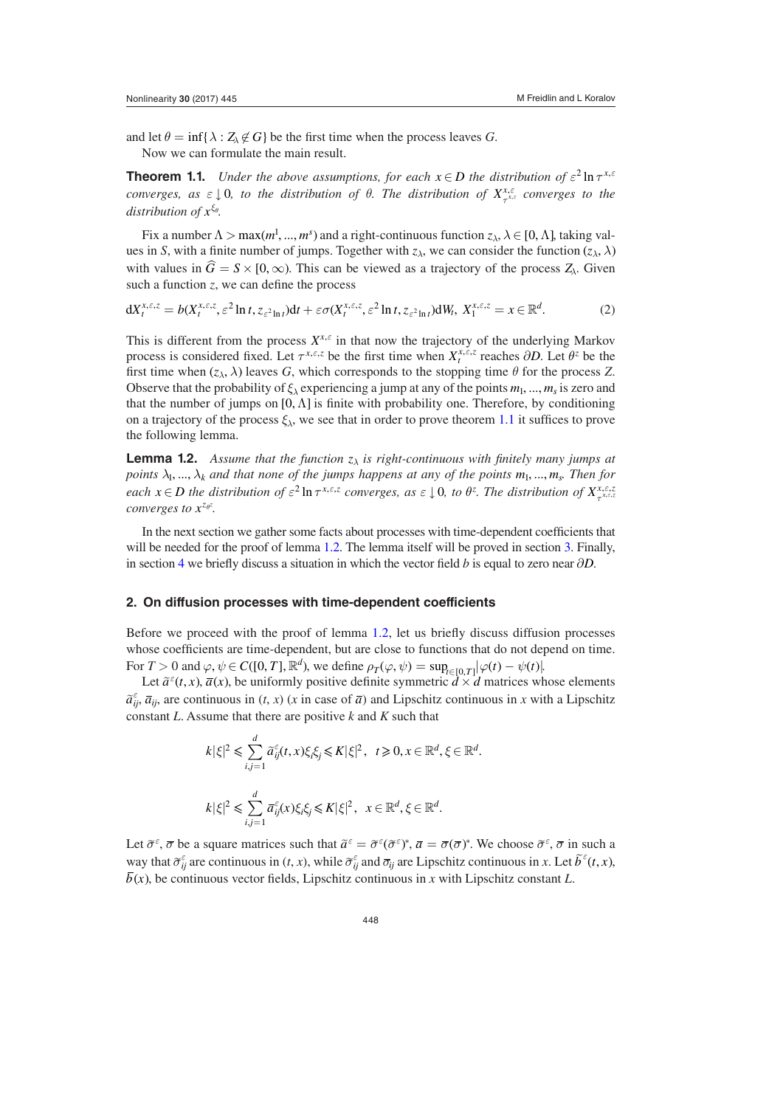and let  $\theta = \inf \{ \lambda : Z_{\lambda} \notin G \}$  be the first time when the process leaves *G*. Now we can formulate the main result.

<span id="page-4-0"></span>**Theorem 1.1.** *Under the above assumptions, for each*  $x \in D$  *the distribution of*  $\varepsilon^2 \ln \tau^{x,\varepsilon}$ *converges, as*  $\epsilon \downarrow 0$ *, to the distribution of*  $\theta$ *. The distribution of*  $X^{x,\epsilon}_{\tau^{x,\epsilon}}$  *converges to the distribution of xξθ.*

Fix a number  $\Lambda > \max(m^1, ..., m^s)$  and a right-continuous function  $z_\lambda, \lambda \in [0, \Lambda]$ , taking values in *S*, with a finite number of jumps. Together with  $z_\lambda$ , we can consider the function  $(z_\lambda, \lambda)$ with values in  $\hat{G} = S \times [0, \infty)$ . This can be viewed as a trajectory of the process  $Z_\lambda$ . Given such a function *z*, we can define the process

<span id="page-4-2"></span>
$$
dX_t^{x,\varepsilon,z} = b(X_t^{x,\varepsilon,z},\varepsilon^2 \ln t, z_{\varepsilon^2 \ln t})dt + \varepsilon \sigma(X_t^{x,\varepsilon,z},\varepsilon^2 \ln t, z_{\varepsilon^2 \ln t})dW_t, \ X_1^{x,\varepsilon,z} = x \in \mathbb{R}^d. \tag{2}
$$

This is different from the process  $X^{x,\varepsilon}$  in that now the trajectory of the underlying Markov process is considered fixed. Let  $\tau^{x, \varepsilon, z}$  be the first time when  $X_t^{x, \varepsilon, z}$  reaches  $\partial D$ . Let  $\theta^z$  be the first time when  $(z_\lambda, \lambda)$  leaves *G*, which corresponds to the stopping time  $\theta$  for the process *Z*. Observe that the probability of  $\xi_{\lambda}$  experiencing a jump at any of the points  $m_1, ..., m_s$  is zero and that the number of jumps on  $[0, \Lambda]$  is finite with probability one. Therefore, by conditioning on a trajectory of the process  $\xi_{\lambda}$ , we see that in order to prove theorem [1.1](#page-4-0) it suffices to prove the following lemma.

<span id="page-4-1"></span>**Lemma 1.2.** *Assume that the function zλ is right-continuous with finitely many jumps at points*  $\lambda_1, ..., \lambda_k$  and that none of the jumps happens at any of the points  $m_1, ..., m_s$ . Then for each  $x \in D$  the distribution of  $\varepsilon^2 \ln \tau^{x,\varepsilon,z}$  converges, as  $\varepsilon \downarrow 0$ , to  $\theta^z$ . The distribution of  $X^{x,\varepsilon,z}_{\tau^{x,\varepsilon,z}}$ *converges to*  $x^{z_{\theta^z}}$ .

In the next section we gather some facts about processes with time-dependent coefficients that will be needed for the proof of lemma [1.2](#page-4-1). The lemma itself will be proved in section [3.](#page-6-0) Finally, in section [4](#page-8-0) we briefly discuss a situation in which the vector field *b* is equal to zero near  $\partial D$ .

#### **2. On diffusion processes with time-dependent coefficients**

Before we proceed with the proof of lemma [1.2](#page-4-1), let us briefly discuss diffusion processes whose coefficients are time-dependent, but are close to functions that do not depend on time. For  $T > 0$  and  $\varphi, \psi \in C([0, T], \mathbb{R}^d)$ , we define  $\rho_T(\varphi, \psi) = \sup_{t \in [0, T]} |\varphi(t) - \psi(t)|$ .

Let  $\tilde{a}^{\epsilon}(t, x)$ ,  $\bar{a}(x)$ , be uniformly positive definite symmetric  $\tilde{d} \times \tilde{d}$  matrices whose elements  $\hat{a}_{ij}^{\epsilon}$ ,  $\overline{a}_{ij}$ , are continuous in  $(t, x)$   $(x \text{ in case of } \overline{a})$  and Lipschitz continuous in *x* with a Lipschitz constant *L*. Assume that there are positive *k* and *K* such that

$$
k|\xi|^2 \le \sum_{i,j=1}^d \widetilde{a}_{ij}^{\varepsilon}(t,x)\xi_i\xi_j \le K|\xi|^2, \quad t \ge 0, x \in \mathbb{R}^d, \xi \in \mathbb{R}^d.
$$
  

$$
k|\xi|^2 \le \sum_{i,j=1}^d \overline{a}_{ij}^{\varepsilon}(x)\xi_i\xi_j \le K|\xi|^2, \quad x \in \mathbb{R}^d, \xi \in \mathbb{R}^d.
$$

Let  $\tilde{\sigma}^{\varepsilon}$ ,  $\bar{\sigma}$  be a square matrices such that  $\tilde{a}^{\varepsilon} = \tilde{\sigma}^{\varepsilon}(\tilde{\sigma}^{\varepsilon})^*$ ,  $\bar{a} = \bar{\sigma}(\bar{\sigma})^*$ . We choose  $\tilde{\sigma}^{\varepsilon}$ ,  $\bar{\sigma}$  in such a way that  $\tilde{\sigma}_{ij}^{\varepsilon}$  are continuous in  $(t, x)$ , while  $\tilde{\sigma}_{ij}^{\varepsilon}$  and  $\overline{\sigma}_{ij}$  are Lipschitz continuous in *x*. Let  $\tilde{b}^{\varepsilon}(t, x)$ ,  $\overline{b}(x)$ , be continuous vector fields, Lipschitz continuous in *x* with Lipschitz constant *L*.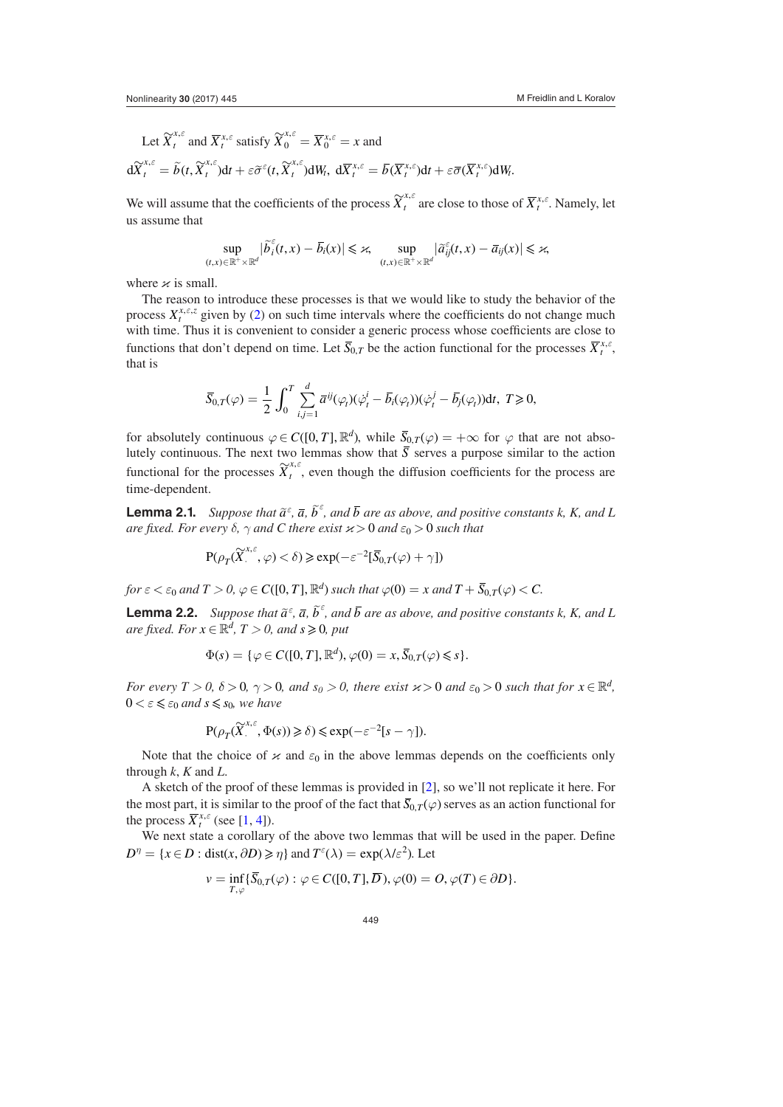Let 
$$
\widetilde{X}_t^{x,\varepsilon}
$$
 and  $\overline{X}_t^{x,\varepsilon}$  satisfy  $\widetilde{X}_0^{x,\varepsilon} = \overline{X}_0^{x,\varepsilon} = x$  and  
\n $d\widetilde{X}_t^{x,\varepsilon} = \widetilde{b}(t, \widetilde{X}_t^{x,\varepsilon})dt + \varepsilon \widetilde{\sigma}^{\varepsilon}(t, \widetilde{X}_t^{x,\varepsilon})dW_t, d\overline{X}_t^{x,\varepsilon} = \overline{b}(\overline{X}_t^{x,\varepsilon})dt + \varepsilon \overline{\sigma}(\overline{X}_t^{x,\varepsilon})dW_t.$ 

We will assume that the coefficients of the process  $\widetilde{X}^{x,\varepsilon}_t$  are close to those of  $\overline{X}^{x,\varepsilon}_t$ . Namely, let us assume that

$$
\sup_{(t,x)\in\mathbb{R}^+\times\mathbb{R}^d} |\widetilde{b}_i^{\varepsilon}(t,x)-\overline{b}_i(x)| \leqslant \varkappa \sup_{(t,x)\in\mathbb{R}^+\times\mathbb{R}^d} |\widetilde{a}_{ij}^{\varepsilon}(t,x)-\overline{a}_{ij}(x)| \leqslant \varkappa,
$$

where  $\varkappa$  is small.

The reason to introduce these processes is that we would like to study the behavior of the process  $X_t^{x,\epsilon,z}$  given by [\(2](#page-4-2)) on such time intervals where the coefficients do not change much with time. Thus it is convenient to consider a generic process whose coefficients are close to functions that don't depend on time. Let  $\overline{S}_{0,T}$  be the action functional for the processes  $\overline{X}^{x,\epsilon}_t$ , that is

$$
\overline{S}_{0,T}(\varphi) = \frac{1}{2} \int_0^T \sum_{i,j=1}^d \overline{a}^{ij}(\varphi_t)(\dot{\varphi}_t^i - \overline{b}_i(\varphi_t))(\dot{\varphi}_t^j - \overline{b}_j(\varphi_t))dt, \ T \geq 0,
$$

for absolutely continuous  $\varphi \in C([0, T], \mathbb{R}^d)$ , while  $\overline{S}_{0,T}(\varphi) = +\infty$  for  $\varphi$  that are not absolutely continuous. The next two lemmas show that  $\overline{S}$  serves a purpose similar to the action functional for the processes  $\widetilde{X}^{x,\varepsilon}_{t}$ , even though the diffusion coefficients for the process are time-dependent.

**Lemma 2.1.** *Suppose that*  $\tilde{a}^{\varepsilon}$ ,  $\bar{a}$ ,  $\tilde{b}^{\varepsilon}$ , and  $\bar{b}$  are as above, and positive constants k, K, and L *are fixed. For every*  $\delta$ *,*  $\gamma$  *and C there exist*  $\varkappa > 0$  *and*  $\varepsilon_0 > 0$  *such that* 

<span id="page-5-0"></span>
$$
\mathbf{P}(\rho_T(\widetilde{X}_{\cdot}^{x,\varepsilon},\varphi)<\delta)\geqslant \exp(-\varepsilon^{-2}[\overline{S}_{0,T}(\varphi)+\gamma])
$$

*for*  $\varepsilon < \varepsilon_0$  and  $T > 0$ ,  $\varphi \in C([0, T], \mathbb{R}^d)$  such that  $\varphi(0) = x$  and  $T + \overline{S}_{0,T}(\varphi) < C$ .

**Lemma 2.2.** *Suppose that*  $\tilde{a}^{\varepsilon}$ ,  $\bar{a}$ ,  $\tilde{b}^{\varepsilon}$ , and  $\bar{b}$  are as above, and positive constants k, K, and L *are fixed. For*  $x \in \mathbb{R}^d$ ,  $T > 0$ , and  $s \ge 0$ , put

<span id="page-5-1"></span>
$$
\Phi(s) = \{ \varphi \in C([0, T], \mathbb{R}^d), \varphi(0) = x, \overline{S}_{0,T}(\varphi) \leq s \}.
$$

*For every T* > 0,  $\delta$  > 0,  $\gamma$  > 0, and  $s_0$  > 0, there exist  $\varkappa$  > 0 and  $\varepsilon_0$  > 0 such that for  $x \in \mathbb{R}^d$ .  $0 < \varepsilon \leq \varepsilon_0$  and  $s \leq s_0$ , we have

$$
\mathbf{P}(\rho_T(\widetilde{X}_{\cdot}^{x,\varepsilon},\Phi(s)) \geq \delta) \leq \exp(-\varepsilon^{-2}[s-\gamma]).
$$

Note that the choice of  $\alpha$  and  $\varepsilon_0$  in the above lemmas depends on the coefficients only through *k*, *K* and *L*.

A sketch of the proof of these lemmas is provided in [[2\]](#page-9-2), so we'll not replicate it here. For the most part, it is similar to the proof of the fact that  $\overline{S_{0,T}}(\varphi)$  serves as an action functional for the process  $\overline{X}^{x,\varepsilon}_t$  (see [[1,](#page-9-3) [4\]](#page-9-4)).

We next state a corollary of the above two lemmas that will be used in the paper. Define  $D^{\eta} = \{x \in D : \text{dist}(x, \partial D) \geq \eta \}$  and  $T^{\varepsilon}(\lambda) = \exp(\lambda/\varepsilon^2)$ . Let

$$
v = \inf_{T,\varphi} \{ \overline{S}_{0,T}(\varphi) : \varphi \in C([0,T],\overline{D}), \varphi(0) = O, \varphi(T) \in \partial D \}.
$$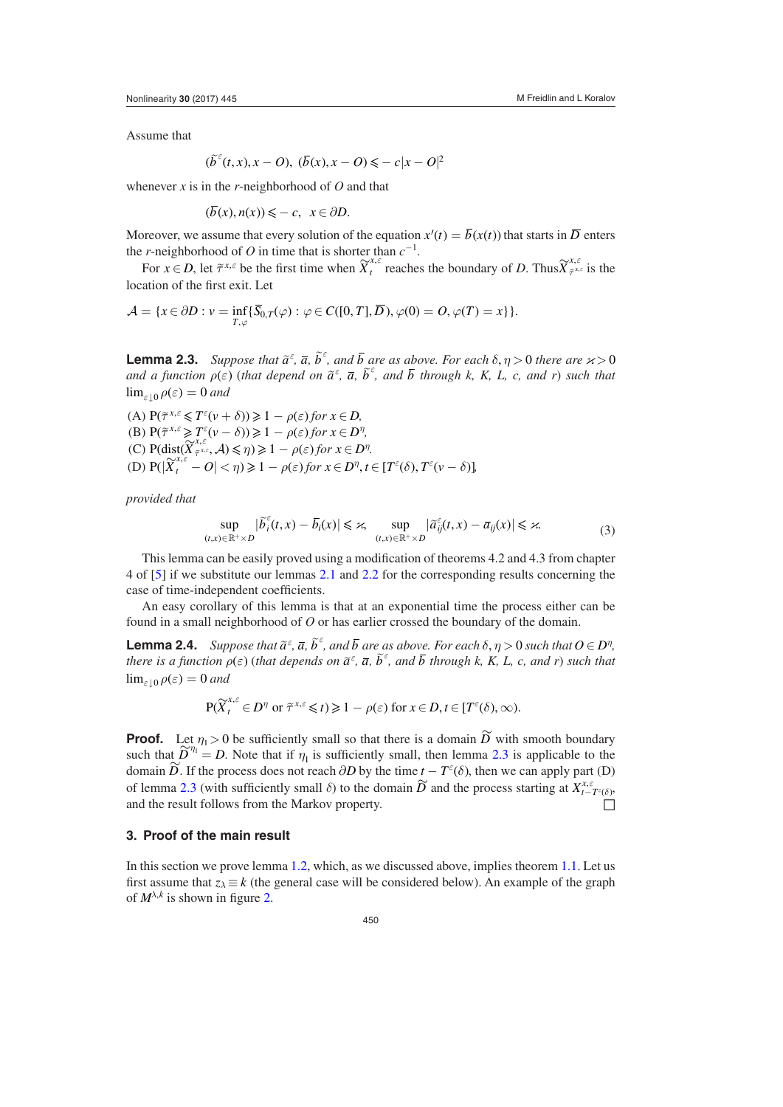Assume that

$$
(\widetilde{b}^{\varepsilon}(t,x),x-O),\ (\overline{b}(x),x-O) \leqslant -c|x-O|^2
$$

whenever *x* is in the *r*-neighborhood of *O* and that

$$
(\overline{b}(x), n(x)) \leqslant -c, \ \ x \in \partial D.
$$

Moreover, we assume that every solution of the equation  $x'(t) = \overline{b}(x(t))$  that starts in  $\overline{D}$  enters the *r*-neighborhood of *O* in time that is shorter than  $c^{-1}$ .

For  $x \in D$ , let  $\tilde{\tau}^{x,\epsilon}$  be the first time when  $\tilde{X}^{x,\epsilon}_t$  reaches the boundary of *D*. Thus  $\tilde{X}^{x,\epsilon}_{\tilde{\tau}^x}$ *ε <sup>ε</sup>* is the location of the first exit. Let

$$
\mathcal{A} = \{x \in \partial D : v = \inf_{T,\varphi} \{\overline{S}_{0,T}(\varphi) : \varphi \in C([0,T], \overline{D}), \varphi(0) = O, \varphi(T) = x\} \}.
$$

<span id="page-6-1"></span>**Lemma 2.3.** *Suppose that*  $\tilde{a}^{\varepsilon}$ ,  $\overline{a}$ ,  $\tilde{b}^{\varepsilon}$ , and  $\overline{b}$  are as above. For each  $\delta$ ,  $\eta > 0$  there are  $\varkappa > 0$ *and a function*  $\rho(\varepsilon)$  *(that depend on*  $\tilde{a}^{\varepsilon}$ *,*  $\bar{a}$ *,*  $\tilde{b}^{\varepsilon}$ *, and*  $\bar{b}$  *through k, K, L, c, and r) such that*  $\lim_{\varepsilon\to 0} \rho(\varepsilon) = 0$  and

 $(A)$   $P(\tilde{\tau}^{x,\varepsilon} \leq T^{\varepsilon}(v+\delta)) \geq 1 - \rho(\varepsilon)$  *for*  $x \in D$ , (B)  $P(\tilde{\tau}^{x,\varepsilon} \geq T^{\varepsilon}(v - \delta)) \geq 1 - \rho(\varepsilon)$  for  $x \in D^{\eta}$ , (C)  $P(\text{dist}(\widetilde{X}_{\tilde{\tau}^{x,\varepsilon}}^{x,\varepsilon},\mathcal{A})\leq \eta) \geq 1 - \rho(\varepsilon)$  $\epsilon_{\tilde{\tau}^{x,\varepsilon}}^{\tilde{x},\tilde{\varepsilon}}, \mathcal{A}) \leqslant \eta \geqslant 1 - \rho(\varepsilon)$  for  $x \in D^{\eta}$ . (D)  $P(|X_t^{\lambda, \varepsilon} - O| < \eta$ )  $\geq 1 - \rho(\varepsilon)$  for  $x \in D^{\eta}, t \in [T^{\varepsilon}(\delta), T^{\varepsilon}(v - \delta)]$ 

*provided that*

<span id="page-6-2"></span>
$$
\sup_{(t,x)\in\mathbb{R}^+\times D} |\tilde{b}_i^{\varepsilon}(t,x) - \overline{b}_i(x)| \leq \varkappa, \quad \sup_{(t,x)\in\mathbb{R}^+\times D} |\tilde{a}_{ij}^{\varepsilon}(t,x) - \overline{a}_{ij}(x)| \leq \varkappa. \tag{3}
$$

This lemma can be easily proved using a modification of theorems 4.2 and 4.3 from chapter 4 of [\[5](#page-9-1)] if we substitute our lemmas [2.1](#page-5-0) and [2.2](#page-5-1) for the corresponding results concerning the case of time-independent coefficients.

An easy corollary of this lemma is that at an exponential time the process either can be found in a small neighborhood of *O* or has earlier crossed the boundary of the domain.

**Lemma 2.4.** *Suppose that*  $\tilde{a}^{\varepsilon}$ ,  $\overline{a}$ ,  $\tilde{b}^{\varepsilon}$ , and  $\overline{b}$  are as above. For each  $\delta$ ,  $\eta > 0$  such that  $O \in D^{\eta}$ , *there is a function*  $\rho(\varepsilon)$  *(that depends on*  $\tilde{a}^{\varepsilon}$ *,*  $\overline{a}$ *,*  $\tilde{b}^{\varepsilon}$ *, and*  $\overline{b}$  *through k, K, L, c, and r) such that*  $\lim_{\varepsilon \to 0} \rho(\varepsilon) = 0$  and

<span id="page-6-3"></span>
$$
\mathbf{P}(\widetilde{X}_t^{x,\varepsilon} \in D^\eta \text{ or } \widetilde{\tau}^{x,\varepsilon} \leq t) \geq 1 - \rho(\varepsilon) \text{ for } x \in D, t \in [T^{\varepsilon}(\delta), \infty).
$$

**Proof.** Let  $\eta_1 > 0$  be sufficiently small so that there is a domain  $\widetilde{D}$  with smooth boundary such that  $\widetilde{D}^{\eta_1} = D$ . Note that if  $\eta_1$  is sufficiently small, then lemma [2.3](#page-6-1) is applicable to the  $\overline{D}$ . If the process does not reach *∂D* by the time *t* − *T*<sup>*ε*</sup>(*δ*), then we can apply part (D) domain *D*. If the process does not reach *∂D* by the time *t* − *T<sup><i>ε*</sup>(*δ*), then we can apply part (D) of lemma [2.3](#page-6-1) (with sufficiently small *δ*) to the domain  $\widetilde{D}$  and the process starting at  $X_{t-\widetilde{T}^{\epsilon}(\delta)}^{x,\epsilon}$ , and the result follows from the Markov property.  $\Box$ 

## <span id="page-6-0"></span>**3. Proof of the main result**

In this section we prove lemma [1.2,](#page-4-1) which, as we discussed above, implies theorem [1.1](#page-4-0). Let us first assume that  $z_{\lambda} \equiv k$  (the general case will be considered below). An example of the graph of  $M^{\lambda,k}$  is shown in figure [2.](#page-7-0)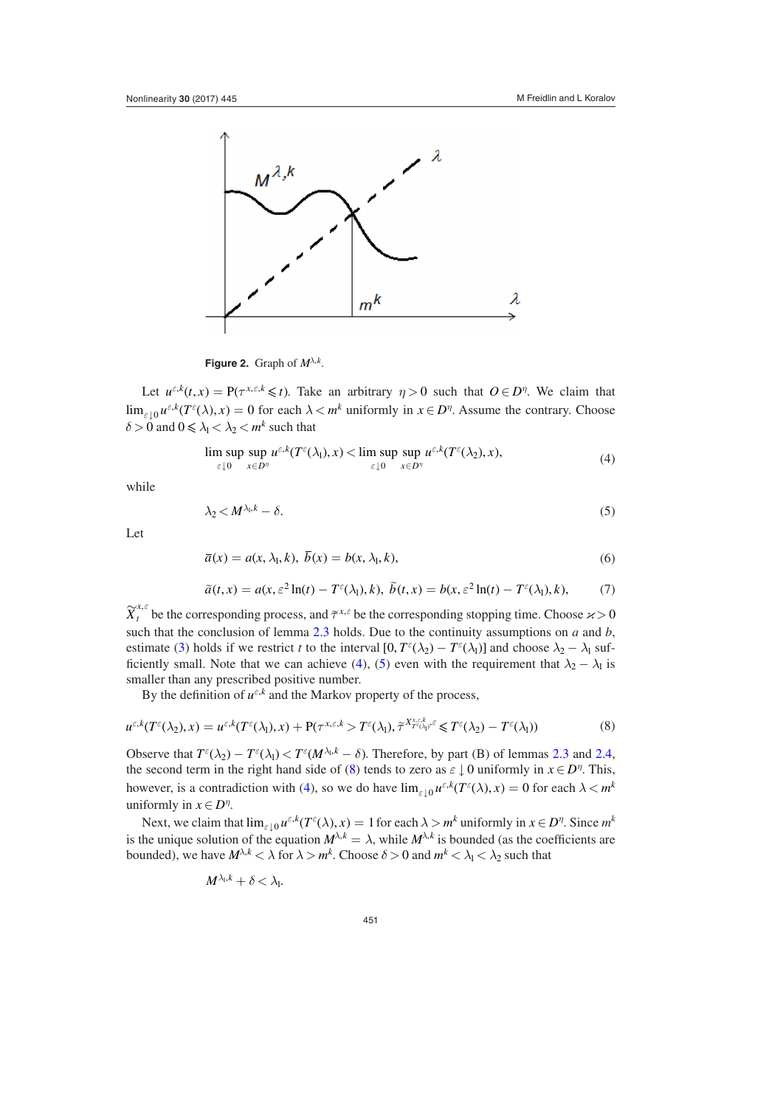<span id="page-7-0"></span>

**Figure 2.** Graph of  $M^{\lambda,k}$ .

Let  $u^{\varepsilon,k}(t, x) = P(\tau^{x,\varepsilon,k} \leq t)$ . Take an arbitrary  $\eta > 0$  such that  $O \in D^{\eta}$ . We claim that  $\lim_{\varepsilon \downarrow 0} u^{\varepsilon,k}(T^{\varepsilon}(\lambda),x) = 0$  for each  $\lambda < m^k$  uniformly in  $x \in D^{\eta}$ . Assume the contrary. Choose  $\delta > 0$  and  $0 \le \lambda_1 < \lambda_2 < m^k$  such that

<span id="page-7-1"></span>
$$
\limsup_{\varepsilon \downarrow 0} \sup_{x \in D^{\eta}} u^{\varepsilon,k}(T^{\varepsilon}(\lambda_1),x) < \limsup_{\varepsilon \downarrow 0} \sup_{x \in D^{\eta}} u^{\varepsilon,k}(T^{\varepsilon}(\lambda_2),x), \tag{4}
$$

while

<span id="page-7-2"></span>
$$
\lambda_2 < M^{\lambda_1, k} - \delta. \tag{5}
$$

Let

<span id="page-7-4"></span>
$$
\overline{a}(x) = a(x, \lambda_1, k), \ \overline{b}(x) = b(x, \lambda_1, k), \tag{6}
$$

<span id="page-7-5"></span>
$$
\tilde{a}(t,x) = a(x,\varepsilon^2 \ln(t) - T^{\varepsilon}(\lambda_1), k), \ \tilde{b}(t,x) = b(x,\varepsilon^2 \ln(t) - T^{\varepsilon}(\lambda_1), k), \tag{7}
$$

 $\widetilde{X}^{x,\varepsilon}_t$  be the corresponding process, and  $\widetilde{\tau}^{x,\varepsilon}$  be the corresponding stopping time. Choose  $\varkappa > 0$ such that the conclusion of lemma [2.3](#page-6-1) holds. Due to the continuity assumptions on *a* and *b*, estimate ([3\)](#page-6-2) holds if we restrict *t* to the interval  $[0, T^{\epsilon}(\lambda_2) - T^{\epsilon}(\lambda_1)]$  and choose  $\lambda_2 - \lambda_1$  suf-ficiently small. Note that we can achieve ([4\)](#page-7-1), [\(5](#page-7-2)) even with the requirement that  $\lambda_2 - \lambda_1$  is smaller than any prescribed positive number.

<span id="page-7-3"></span>By the definition of  $u^{\varepsilon,k}$  and the Markov property of the process,

$$
u^{\varepsilon,k}(T^{\varepsilon}(\lambda_2),x) = u^{\varepsilon,k}(T^{\varepsilon}(\lambda_1),x) + \mathbf{P}(\tau^{x,\varepsilon,k} > T^{\varepsilon}(\lambda_1),\tilde{\tau}^{X^{x,\varepsilon,k}_{T^{\varepsilon}(\lambda_1)},\varepsilon} \leq T^{\varepsilon}(\lambda_2) - T^{\varepsilon}(\lambda_1))
$$
\n(8)

Observe that  $T^{\varepsilon}(\lambda_2) - T^{\varepsilon}(\lambda_1) < T^{\varepsilon}(M^{\lambda_1, k} - \delta)$ . Therefore, by part (B) of lemmas [2.3](#page-6-1) and [2.4,](#page-6-3) the second term in the right hand side of ([8\)](#page-7-3) tends to zero as  $\varepsilon \downarrow 0$  uniformly in  $x \in D^{\eta}$ . This, however, is a contradiction with [\(4](#page-7-1)), so we do have  $\lim_{\varepsilon \downarrow 0} u^{\varepsilon, k}(T^{\varepsilon}(\lambda), x) = 0$  for each  $\lambda < m^{k}$ uniformly in  $x \in D^n$ .

Next, we claim that  $\lim_{\varepsilon \downarrow 0} u^{\varepsilon, k}(T^{\varepsilon}(\lambda), x) = 1$  for each  $\lambda > m^k$  uniformly in  $x \in D^{\eta}$ . Since  $m^k$ is the unique solution of the equation  $M^{\lambda,k} = \lambda$ , while  $M^{\lambda,k}$  is bounded (as the coefficients are bounded), we have  $M^{\lambda,k} < \lambda$  for  $\lambda > m^k$ . Choose  $\delta > 0$  and  $m^k < \lambda_1 < \lambda_2$  such that

$$
M^{\lambda_{\rm l},k}+\delta<\lambda_{\rm l}.
$$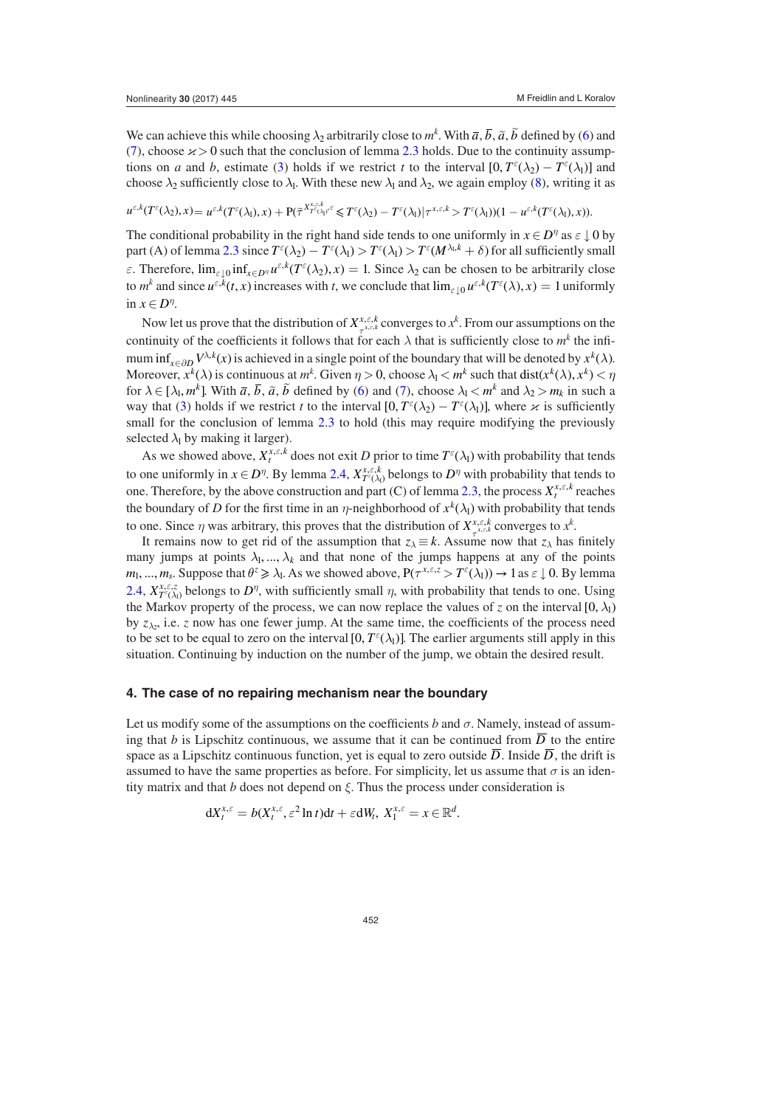We can achieve this while choosing  $\lambda_2$  arbitrarily close to  $m^k$ . With  $\bar{a}$ ,  $\bar{b}$ ,  $\tilde{a}$ ,  $\tilde{b}$  defined by [\(6](#page-7-4)) and [\(7](#page-7-5)), choose  $x > 0$  such that the conclusion of lemma [2.3](#page-6-1) holds. Due to the continuity assumptions on *a* and *b*, estimate [\(3](#page-6-2)) holds if we restrict *t* to the interval  $[0, T^{\epsilon}(\lambda_2) - T^{\epsilon}(\lambda_1)]$  and choose  $\lambda_2$  sufficiently close to  $\lambda_1$ . With these new  $\lambda_1$  and  $\lambda_2$ , we again employ ([8\)](#page-7-3), writing it as

$$
u^{\varepsilon,k}(T^{\varepsilon}(\lambda_2),x)=u^{\varepsilon,k}(T^{\varepsilon}(\lambda_1),x)+P(\widetilde{\tau}^{X^{x,\varepsilon,k}_{T^{\varepsilon}(\lambda_1)^c}}\leq T^{\varepsilon}(\lambda_2)-T^{\varepsilon}(\lambda_1)|\tau^{x,\varepsilon,k}>T^{\varepsilon}(\lambda_1))(1-u^{\varepsilon,k}(T^{\varepsilon}(\lambda_1),x)).
$$

The conditional probability in the right hand side tends to one uniformly in  $x \in D^{\eta}$  as  $\varepsilon \downarrow 0$  by part (A) of lemma [2.3](#page-6-1) since  $T^{\epsilon}(\lambda_2) - T^{\epsilon}(\lambda_1) > T^{\epsilon}(\lambda_1) > T^{\epsilon}(M^{\lambda_1,k} + \delta)$  for all sufficiently small *ε*. Therefore,  $\lim_{\varepsilon \downarrow 0} \inf_{x \in D^{\eta}} u^{\varepsilon, k}(T^{\varepsilon}(\lambda_2), x) = 1$ . Since  $\lambda_2$  can be chosen to be arbitrarily close to  $m^k$  and since  $u^{\varepsilon,k}(t, x)$  increases with *t*, we conclude that  $\lim_{\varepsilon \downarrow 0} u^{\varepsilon,k}(T^{\varepsilon}(\lambda), x) = 1$  uniformly in  $x \in D^{\eta}$ .

Now let us prove that the distribution of  $X^{x,\epsilon,k}_{\tau^{x,\epsilon,k}}$  converges to  $x^k$ . From our assumptions on the continuity of the coefficients it follows that for each  $\lambda$  that is sufficiently close to  $m^k$  the infimum inf<sub>*x*∈∂D</sub>  $V^{\lambda,k}(x)$  is achieved in a single point of the boundary that will be denoted by  $x^k(\lambda)$ . Moreover,  $x^k(\lambda)$  is continuous at  $m^k$ . Given  $\eta > 0$ , choose  $\lambda_1 < m^k$  such that  $dist(x^k(\lambda), x^k) < \eta$ for  $\lambda \in [\lambda_1, m^k]$ . With  $\overline{a}, \overline{b}, \widetilde{a}, \widetilde{b}$  defined by [\(6](#page-7-4)) and [\(7](#page-7-5)), choose  $\lambda_1 < m^k$  and  $\lambda_2 > m_k$  in such a way that [\(3](#page-6-2)) holds if we restrict *t* to the interval  $[0, T^{\epsilon}(\lambda_2) - T^{\epsilon}(\lambda_1)]$ , where  $\varkappa$  is sufficiently small for the conclusion of lemma [2.3](#page-6-1) to hold (this may require modifying the previously selected  $\lambda_1$  by making it larger).

As we showed above,  $X_t^{x, \varepsilon, k}$  does not exit *D* prior to time  $T^{\varepsilon}(\lambda_1)$  with probability that tends to one uniformly in  $x \in D^{\eta}$ . By lemma [2.4](#page-6-3),  $X^{x, \varepsilon, k}_{T^{\varepsilon}(\lambda)}$  belongs to  $D^{\eta}$  with probability that tends to one. Therefore, by the above construction and part (C) of lemma [2.3,](#page-6-1) the process  $X_t^{x,\varepsilon,k}$  reaches the boundary of *D* for the first time in an *η*-neighborhood of  $x^k(\lambda_1)$  with probability that tends to one. Since  $\eta$  was arbitrary, this proves that the distribution of  $X_{\tau}^{x,\varepsilon,k}$  converges to  $x^k$ .

It remains now to get rid of the assumption that  $z_\lambda \equiv k$ . Assume now that  $z_\lambda$  has finitely many jumps at points  $\lambda_1, ..., \lambda_k$  and that none of the jumps happens at any of the points *m*<sub>1</sub>, ..., *m*<sub>*s*</sub>. Suppose that  $\theta^z \ge \lambda_1$ . As we showed above,  $P(\tau^{x,\epsilon,z} > T^{\epsilon}(\lambda_1)) \rightarrow 1$  as  $\epsilon \downarrow 0$ . By lemma [2.4](#page-6-3),  $X_{T^{\varepsilon}(\lambda_1)}^{x,\varepsilon,\zeta}$  belongs to  $D^{\eta}$ , with sufficiently small  $\eta$ , with probability that tends to one. Using the Markov property of the process, we can now replace the values of *z* on the interval  $[0, \lambda_1)$ by  $z_{\lambda_2}$ , i.e. *z* now has one fewer jump. At the same time, the coefficients of the process need to be set to be equal to zero on the interval  $[0, T^{\epsilon}(\lambda_1)]$ . The earlier arguments still apply in this situation. Continuing by induction on the number of the jump, we obtain the desired result.

#### <span id="page-8-0"></span>**4. The case of no repairing mechanism near the boundary**

Let us modify some of the assumptions on the coefficients  $b$  and  $\sigma$ . Namely, instead of assuming that *b* is Lipschitz continuous, we assume that it can be continued from  $\overline{D}$  to the entire space as a Lipschitz continuous function, yet is equal to zero outside  $\overline{D}$ . Inside  $\overline{D}$ , the drift is assumed to have the same properties as before. For simplicity, let us assume that  $\sigma$  is an identity matrix and that *b* does not depend on *ξ*. Thus the process under consideration is

$$
dX_t^{x,\varepsilon} = b(X_t^{x,\varepsilon}, \varepsilon^2 \ln t)dt + \varepsilon dW_t, \ X_1^{x,\varepsilon} = x \in \mathbb{R}^d.
$$